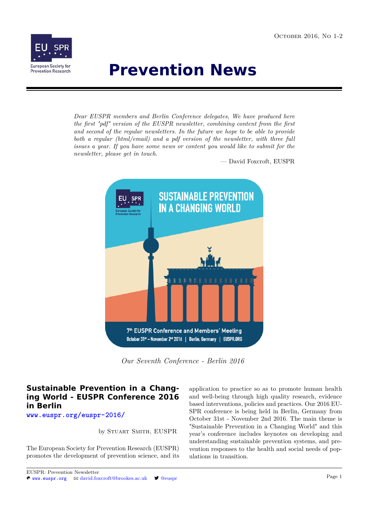

# **Prevention News**

*Dear EUSPR members and Berlin Conference delegates, We have produced here the first "pdf" version of the EUSPR newsletter, combining content from the first and second of the regular newsletters. In the future we hope to be able to provide both a regular (html/email) and a pdf version of the newsletter, with three full issues a year. If you have some news or content you would like to submit for the newsletter, please get in touch.*

— David Foxcroft, EUSPR



*Our Seventh Conference - Berlin 2016*

# **Sustainable Prevention in a Changing World - EUSPR Conference 2016 in Berlin**

**<www.euspr.org/euspr-2016/>**

by Stuart Smith, EUSPR

The European Society for Prevention Research (EUSPR) promotes the development of prevention science, and its application to practice so as to promote human health and well-being through high quality research, evidence based interventions, policies and practices. Our 2016 EU-SPR conference is being held in Berlin, Germany from October 31st - November 2nd 2016. The main theme is "Sustainable Prevention in a Changing World" and this year's conference includes keynotes on developing and understanding sustainable prevention systems, and prevention responses to the health and social needs of populations in transition.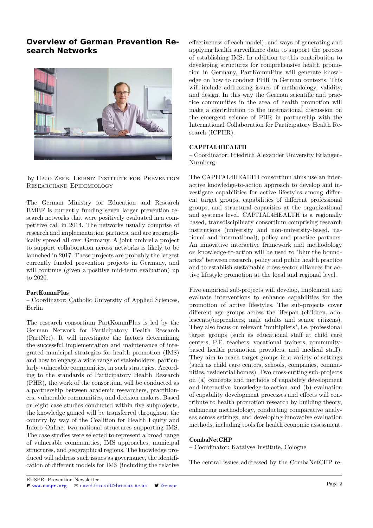# **Overview of German Prevention Research Networks**



by HAJO ZEEB, LEIBNIZ INSTITUTE FOR PREVENTION Researchand Epidemiology

The German Ministry for Education and Research BMBF is currently funding seven larger prevention research networks that were positively evaluated in a competitive call in 2014. The networks usually comprise of research and implementation partners, and are geographically spread all over Germany. A joint umbrella project to support collaboration across networks is likely to be launched in 2017. These projects are probably the largest currently funded prevention projects in Germany, and will continue (given a positive mid-term evaluation) up to 2020.

### PartKommPlus

– Coordinator: Catholic University of Applied Sciences, Berlin

The research consortium PartKommPlus is led by the German Network for Participatory Health Research (PartNet). It will investigate the factors determining the successful implementation and maintenance of integrated municipal strategies for health promotion (IMS) and how to engage a wide range of stakeholders, particularly vulnerable communities, in such strategies. According to the standards of Participatory Health Research (PHR), the work of the consortium will be conducted as a partnership between academic researchers, practitioners, vulnerable communities, and decision makers. Based on eight case studies conducted within five subprojects, the knowledge gained will be transferred throughout the country by way of the Coalition for Health Equity and Inforo Online, two national structures supporting IMS. The case studies were selected to represent a broad range of vulnerable communities, IMS approaches, municipal structures, and geographical regions. The knowledge produced will address such issues as governance, the identification of different models for IMS (including the relative effectiveness of each model), and ways of generating and applying health surveillance data to support the process of establishing IMS. In addition to this contribution to developing structures for comprehensive health promotion in Germany, PartKommPlus will generate knowledge on how to conduct PHR in German contexts. This will include addressing issues of methodology, validity, and design. In this way the German scientific and practice communities in the area of health promotion will make a contribution to the international discussion on the emergent science of PHR in partnership with the International Collaboration for Participatory Health Research (ICPHR).

### CAPITAL4HEALTH

– Coordinator: Friedrich Alexander University Erlangen-Nurnberg

The CAPITAL4HEALTH consortium aims use an interactive knowledge-to-action approach to develop and investigate capabilities for active lifestyles among different target groups, capabilities of different professional groups, and structural capacities at the organizational and systems level. CAPITAL4HEALTH is a regionally based, transdisciplinary consortium comprising research institutions (university and non-university-based, national and international), policy and practice partners. An innovative interactive framework and methodology on knowledge-to-action will be used to "blur the boundaries" between research, policy and public health practice and to establish sustainable cross-sector alliances for active lifestyle promotion at the local and regional level.

Five empirical sub-projects will develop, implement and evaluate interventions to enhance capabilities for the promotion of active lifestyles. The sub-projects cover different age groups across the lifespan (children, adolescents/apprentices, male adults and senior citizens). They also focus on relevant "multipliers", i.e. professional target groups (such as educational staff at child care centers, P.E. teachers, vocational trainers, communitybased health promotion providers, and medical staff). They aim to reach target groups in a variety of settings (such as child care centers, schools, companies, communities, residential homes). Two cross-cutting sub-projects on (a) concepts and methods of capability development and interactive knowledge-to-action and (b) evaluation of capability development processes and effects will contribute to health promotion research by building theory, enhancing methodology, conducting comparative analyses across settings, and developing innovative evaluation methods, including tools for health economic assessment.

### CombaNetCHP

– Coordinator: Katalyse Institute, Cologne

The central issues addressed by the CombaNetCHP re-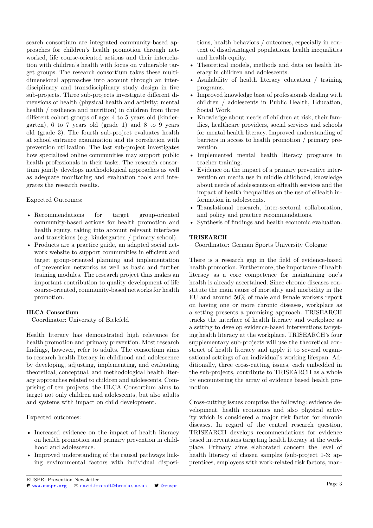search consortium are integrated community-based approaches for children's health promotion through networked, life course-oriented actions and their interrelation with children's health with focus on vulnerable target groups. The research consortium takes these multidimensional approaches into account through an interdisciplinary and transdisciplinary study design in five sub-projects. Three sub-projects investigate different dimensions of health (physical health and activity; mental health / resilience and nutrition) in children from three different cohort groups of age: 4 to 5 years old (kindergarten), 6 to 7 years old (grade 1) and 8 to 9 years old (grade 3). The fourth sub-project evaluates health at school entrance examination and its correlation with prevention utilization. The last sub-project investigates how specialized online communities may support public health professionals in their tasks. The research consortium jointly develops methodological approaches as well as adequate monitoring and evaluation tools and integrates the research results.

### Expected Outcomes:

- Recommendations for target group-oriented community-based actions for health promotion and health equity, taking into account relevant interfaces and transitions (e.g. kindergarten / primary school).
- Products are a practice guide, an adapted social network website to support communities in efficient and target group-oriented planning and implementation of prevention networks as well as basic and further training modules. The research project thus makes an important contribution to quality development of life course-oriented, community-based networks for health promotion.

# HLCA Consortium

– Coordinator: University of Bielefeld

Health literacy has demonstrated high relevance for health promotion and primary prevention. Most research findings, however, refer to adults. The consortium aims to research health literacy in childhood and adolescence by developing, adjusting, implementing, and evaluating theoretical, conceptual, and methodological health literacy approaches related to children and adolescents. Comprising of ten projects, the HLCA Consortium aims to target not only children and adolescents, but also adults and systems with impact on child development.

Expected outcomes:

- Increased evidence on the impact of health literacy on health promotion and primary prevention in childhood and adolescence.
- Improved understanding of the causal pathways linking environmental factors with individual disposi-

tions, health behaviors / outcomes, especially in context of disadvantaged populations, health inequalities and health equity.

- Theoretical models, methods and data on health literacy in children and adolescents.
- Availability of health literacy education / training programs.
- Improved knowledge base of professionals dealing with children / adolescents in Public Health, Education, Social Work.
- Knowledge about needs of children at risk, their families, healthcare providers, social services and schools for mental health literacy. Improved understanding of barriers in access to health promotion / primary prevention.
- Implemented mental health literacy programs in teacher training.
- Evidence on the impact of a primary preventive intervention on media use in middle childhood, knowledge about needs of adolescents on eHealth services and the impact of health inequalities on the use of eHealth information in adolescents.
- Translational research, inter-sectoral collaboration, and policy and practice recommendations.
- Synthesis of findings and health economic evaluation.

# TRISEARCH

– Coordinator: German Sports University Cologne

There is a research gap in the field of evidence-based health promotion. Furthermore, the importance of health literacy as a core competence for maintaining one's health is already ascertained. Since chronic diseases constitute the main cause of mortality and morbidity in the EU and around 50% of male and female workers report on having one or more chronic diseases, workplace as a setting presents a promising approach. TRISEARCH tracks the interface of health literacy and workplace as a setting to develop evidence-based interventions targeting health literacy at the workplace. TRISEARCH's four supplementary sub-projects will use the theoretical construct of health literacy and apply it to several organisational settings of an individual's working lifespan. Additionally, three cross-cutting issues, each embedded in the sub-projects, contribute to TRISEARCH as a whole by encountering the array of evidence based health promotion.

Cross-cutting issues comprise the following: evidence development, health economics and also physical activity which is considered a major risk factor for chronic diseases. In regard of the central research question, TRISEARCH develops recommendations for evidence based interventions targeting health literacy at the workplace. Primary aims elaborated concern the level of health literacy of chosen samples (sub-project 1-3: apprentices, employees with work-related risk factors, man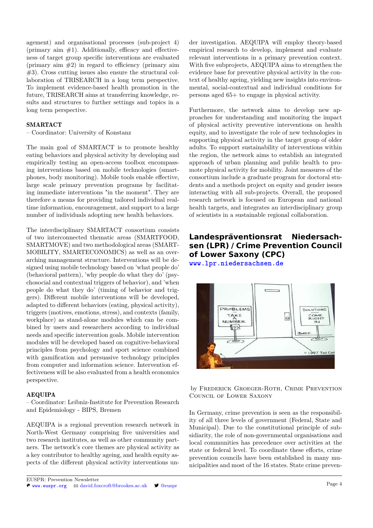agement) and organisational processes (sub-project 4) (primary aim  $#1$ ). Additionally, efficacy and effectiveness of target group specific interventions are evaluated (primary aim  $#2$ ) in regard to efficiency (primary aim #3). Cross cutting issues also ensure the structural collaboration of TRISEARCH in a long term perspective. To implement evidence-based health promotion in the future, TRISEARCH aims at transferring knowledge, results and structures to further settings and topics in a long term perspective.

### SMARTACT

– Coordinator: University of Konstanz

The main goal of SMARTACT is to promote healthy eating behaviors and physical activity by developing and empirically testing an open-access toolbox encompassing interventions based on mobile technologies (smartphones, body monitoring). Mobile tools enable effective, large scale primary prevention programs by facilitating immediate interventions "in the moment". They are therefore a means for providing tailored individual realtime information, encouragement, and support to a large number of individuals adopting new health behaviors.

The interdisciplinary SMARTACT consortium consists of two interconnected thematic areas (SMARTFOOD, SMARTMOVE) and two methodological areas (SMART-MOBILITY, SMARTECONOMICS) as well as an overarching management structure. Interventions will be designed using mobile technology based on 'what people do' (behavioral pattern), 'why people do what they do' (psychosocial and contextual triggers of behavior), and 'when people do what they do' (timing of behavior and triggers). Different mobile interventions will be developed, adapted to different behaviors (eating, physical activity), triggers (motives, emotions, stress), and contexts (family, workplace) as stand-alone modules which can be combined by users and researchers according to individual needs and specific intervention goals. Mobile intervention modules will be developed based on cognitive-behavioral principles from psychology and sport science combined with gamification and persuasive technology principles from computer and information science. Intervention effectiveness will be also evaluated from a health economics perspective.

#### AEQUIPA

– Coordinator: Leibniz-Institute for Prevention Research and Epidemiology - BIPS, Bremen

AEQUIPA is a regional prevention research network in North-West Germany comprising five universities and two research institutes, as well as other community partners. The network's core themes are physical activity as a key contributor to healthy ageing, and health equity aspects of the different physical activity interventions under investigation. AEQUIPA will employ theory-based empirical research to develop, implement and evaluate relevant interventions in a primary prevention context. With five subprojects, AEQUIPA aims to strengthen the evidence base for preventive physical activity in the context of healthy ageing, yielding new insights into environmental, social-contextual and individual conditions for persons aged 65+ to engage in physical activity.

Furthermore, the network aims to develop new approaches for understanding and monitoring the impact of physical activity preventive interventions on health equity, and to investigate the role of new technologies in supporting physical activity in the target group of older adults. To support sustainability of interventions within the region, the network aims to establish an integrated approach of urban planning and public health to promote physical activity for mobility. Joint measures of the consortium include a graduate program for doctoral students and a methods project on equity and gender issues interacting with all sub-projects. Overall, the proposed research network is focused on European and national health targets, and integrates an interdisciplinary group of scientists in a sustainable regional collaboration.

# **Landespräventionsrat Niedersachsen (LPR) / Crime Prevention Council of Lower Saxony (CPC)**

**<www.lpr.niedersachsen.de>**



by Frederick Groeger-Roth, Crime Prevention Council of Lower Saxony

In Germany, crime prevention is seen as the responsibility of all three levels of government (Federal, State and Municipal). Due to the constitutional principle of subsidiarity, the role of non-governmental organisations and local communities has precedence over activities at the state or federal level. To coordinate these efforts, crime prevention councils have been established in many municipalities and most of the 16 states. State crime preven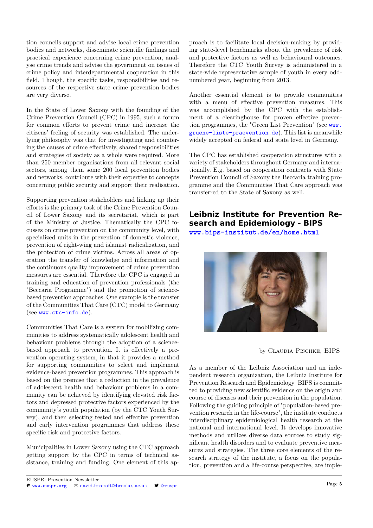tion councils support and advise local crime prevention bodies and networks, disseminate scientific findings and practical experience concerning crime prevention, analyse crime trends and advise the government on issues of crime policy and interdepartmental cooperation in this field. Though, the specific tasks, responsibilities and resources of the respective state crime prevention bodies are very diverse.

In the State of Lower Saxony with the founding of the Crime Prevention Council (CPC) in 1995, such a forum for common efforts to prevent crime and increase the citizens' feeling of security was established. The underlying philosophy was that for investigating and countering the causes of crime effectively, shared responsibilities and strategies of society as a whole were required. More than 250 member organisations from all relevant social sectors, among them some 200 local prevention bodies and networks, contribute with their expertise to concepts concerning public security and support their realisation.

Supporting prevention stakeholders and linking up their efforts is the primary task of the Crime Prevention Council of Lower Saxony and its secretariat, which is part of the Ministry of Justice. Thematically the CPC focusses on crime prevention on the community level, with specialized units in the prevention of domestic violence, prevention of right-wing and islamist radicalization, and the protection of crime victims. Across all areas of operation the transfer of knowledge and information and the continuous quality improvement of crime prevention measures are essential. Therefore the CPC is engaged in training and education of prevention professionals (the "Beccaria Programme") and the promotion of sciencebased prevention approaches. One example is the transfer of the Communities That Care (CTC) model to Germany (see <www.ctc-info.de>).

Communities That Care is a system for mobilizing communities to address systematically adolescent health and behaviour problems through the adoption of a sciencebased approach to prevention. It is effectively a prevention operating system, in that it provides a method for supporting communities to select and implement evidence-based prevention programmes. This approach is based on the premise that a reduction in the prevalence of adolescent health and behaviour problems in a community can be achieved by identifying elevated risk factors and depressed protective factors experienced by the community's youth population (by the CTC Youth Survey), and then selecting tested and effective prevention and early intervention programmes that address these specific risk and protective factors.

Municipalities in Lower Saxony using the CTC approach getting support by the CPC in terms of technical assistance, training and funding. One element of this approach is to facilitate local decision-making by providing state-level benchmarks about the prevalence of risk and protective factors as well as behavioural outcomes. Therefore the CTC Youth Survey is administered in a state-wide representative sample of youth in every oddnumbered year, beginning from 2013.

Another essential element is to provide communities with a menu of effective prevention measures. This was accomplished by the CPC with the establishment of a clearinghouse for proven effective prevention programmes, the "Green List Prevention" (see [www.](www.gruene-liste-praevention.de) [gruene-liste-praevention.de](www.gruene-liste-praevention.de)). This list is meanwhile widely accepted on federal and state level in Germany.

The CPC has established cooperation structures with a variety of stakeholders throughout Germany and internationally. E.g. based on cooperation contracts with State Prevention Council of Saxony the Beccaria training programme and the Communities That Care approach was transferred to the State of Saxony as well.

# **Leibniz Institute for Prevention Research and Epidemiology - BIPS**

**<www.bips-institut.de/en/home.html>**



by CLAUDIA PISCHKE, BIPS

As a member of the Leibniz Association and an independent research organization, the Leibniz Institute for Prevention Research and Epidemiology BIPS is committed to providing new scientific evidence on the origin and course of diseases and their prevention in the population. Following the guiding principle of "population-based prevention research in the life-course", the institute conducts interdisciplinary epidemiological health research at the national and international level. It develops innovative methods and utilizes diverse data sources to study significant health disorders and to evaluate preventive measures and strategies. The three core elements of the research strategy of the institute, a focus on the population, prevention and a life-course perspective, are imple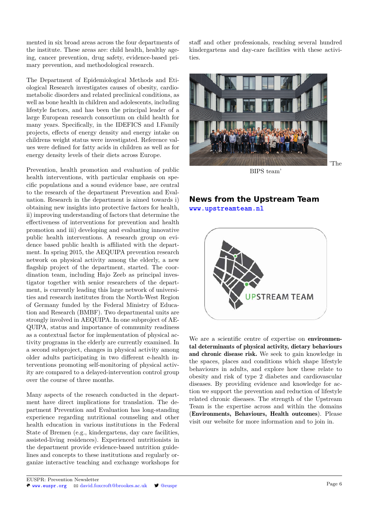mented in six broad areas across the four departments of the institute. These areas are: child health, healthy ageing, cancer prevention, drug safety, evidence-based primary prevention, and methodological research.

The Department of Epidemiological Methods and Etiological Research investigates causes of obesity, cardiometabolic disorders and related preclinical conditions, as well as bone health in children and adolescents, including lifestyle factors, and has been the principal leader of a large European research consortium on child health for many years. Specifically, in the IDEFICS and I.Family projects, effects of energy density and energy intake on childrens weight status were investigated. Reference values were defined for fatty acids in children as well as for energy density levels of their diets across Europe.

Prevention, health promotion and evaluation of public health interventions, with particular emphasis on specific populations and a sound evidence base, are central to the research of the department Prevention and Evaluation. Research in the department is aimed towards i) obtaining new insights into protective factors for health, ii) improving understanding of factors that determine the effectiveness of interventions for prevention and health promotion and iii) developing and evaluating innovative public health interventions. A research group on evidence based public health is affiliated with the department. In spring 2015, the AEQUIPA prevention research network on physical activity among the elderly, a new flagship project of the department, started. The coordination team, including Hajo Zeeb as principal investigator together with senior researchers of the department, is currently leading this large network of universities and research institutes from the North-West Region of Germany funded by the Federal Ministry of Education and Research (BMBF). Two departmental units are strongly involved in AEQUIPA. In one subproject of AE-QUIPA, status and importance of community readiness as a contextual factor for implementation of physical activity programs in the elderly are currently examined. In a second subproject, changes in physical activity among older adults participating in two different e-health interventions promoting self-monitoring of physical activity are compared to a delayed-intervention control group over the course of three months.

Many aspects of the research conducted in the department have direct implications for translation. The department Prevention and Evaluation has long-standing experience regarding nutritional counseling and other health education in various institutions in the Federal State of Bremen (e.g., kindergartens, day care facilities, assisted-living residences). Experienced nutritionists in the department provide evidence-based nutrition guidelines and concepts to these institutions and regularly organize interactive teaching and exchange workshops for

staff and other professionals, reaching several hundred kindergartens and day-care facilities with these activities.



BIPS team'

# **News from the Upstream Team <www.upstreamteam.nl>**



We are a scientific centre of expertise on **environmen**tal determinants of physical activity, dietary behaviours and chronic disease risk. We seek to gain knowledge in the spaces, places and conditions which shape lifestyle behaviours in adults, and explore how these relate to obesity and risk of type 2 diabetes and cardiovascular diseases. By providing evidence and knowledge for action we support the prevention and reduction of lifestyle related chronic diseases. The strength of the Upstream Team is the expertise across and within the domains (Environments, Behaviours, Health outcomes). Please visit our website for more information and to join in.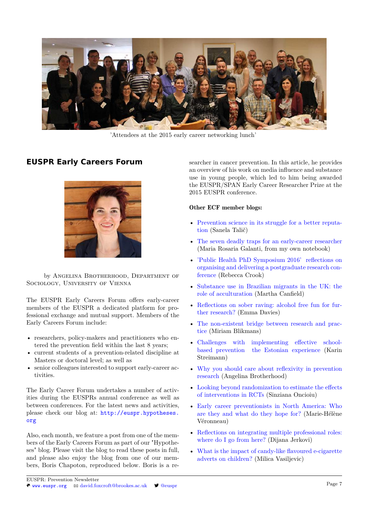

'Attendees at the 2015 early career networking lunch'

# **EUSPR Early Careers Forum**



by Angelina Brotherhood, Department of Sociology, University of Vienna

The EUSPR Early Careers Forum offers early-career members of the EUSPR a dedicated platform for professional exchange and mutual support. Members of the Early Careers Forum include:

- researchers, policy-makers and practitioners who entered the prevention field within the last 8 years;
- current students of a prevention-related discipline at Masters or doctoral level; as well as
- senior colleagues interested to support early-career activities.

The Early Career Forum undertakes a number of activities during the EUSPRs annual conference as well as between conferences. For the latest news and activities, please check our blog at: [http://euspr.hypotheses.](http://euspr.hypotheses.org) [org](http://euspr.hypotheses.org)

Also, each month, we feature a post from one of the members of the Early Careers Forum as part of our "Hypotheses" blog. Please visit the blog to read these posts in full, and please also enjoy the blog from one of our members, Boris Chapoton, reproduced below. Boris is a researcher in cancer prevention. In this article, he provides an overview of his work on media influence and substance use in young people, which led to him being awarded the EUSPR/SPAN Early Career Researcher Prize at the 2015 EUSPR conference.

### Other ECF member blogs:

- [Prevention science in its struggle for a better reputa](https://euspr.hypotheses.org/382)[tion](https://euspr.hypotheses.org/382) (Sanela Talič)
- [The seven deadly traps for an early-career researcher](http://euspr.hypotheses.org/370) (Maria Rosaria Galanti, from my own notebook)
- ['Public Health PhD Symposium 2016' reflections on](http://euspr.hypotheses.org/349) [organising and delivering a postgraduate research con](http://euspr.hypotheses.org/349)[ference](http://euspr.hypotheses.org/349) (Rebecca Crook)
- [Substance use in Brazilian migrants in the UK: the](http://euspr.hypotheses.org/313) [role of acculturation](http://euspr.hypotheses.org/313) (Martha Canfield)
- [Reflections on sober raving: alcohol free fun for fur](http://euspr.hypotheses.org/285)[ther research?](http://euspr.hypotheses.org/285) (Emma Davies)
- [The non-existent bridge between research and prac](http://euspr.hypotheses.org/276)[tice](http://euspr.hypotheses.org/276) (Miriam Blikmans)
- [Challenges with implementing effective school](http://euspr.hypotheses.org/262)[based prevention the Estonian experience](http://euspr.hypotheses.org/262) (Karin Streimann)
- [Why you should care about reflexivity in prevention](http://euspr.hypotheses.org/240) [research](http://euspr.hypotheses.org/240) (Angelina Brotherhood)
- [Looking beyond randomization to estimate the effects](http://euspr.hypotheses.org/215) [of interventions in RCTs](http://euspr.hypotheses.org/215) (Sinziana Oncioiu)
- [Early career preventionists in North America: Who](http://euspr.hypotheses.org/201) [are they and what do they hope for?](http://euspr.hypotheses.org/201) (Marie-Hélène Véronneau)
- [Reflections on integrating multiple professional roles:](http://euspr.hypotheses.org/131) [where do I go from here?](http://euspr.hypotheses.org/131) (Dijana Jerkovi)
- [What is the impact of candy-like flavoured e-cigarette](http://euspr.hypotheses.org/145) [adverts on children?](http://euspr.hypotheses.org/145) (Milica Vasiljevic)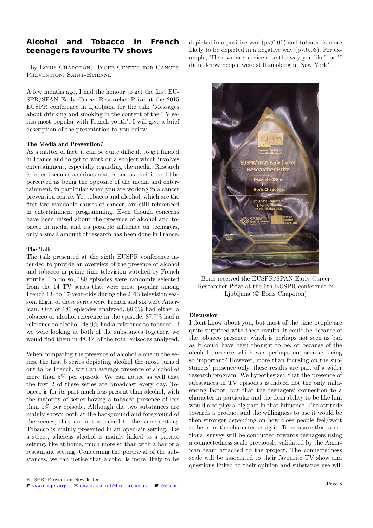# **Alcohol and Tobacco in French teenagers favourite TV shows**

by Boris Chapoton, Hygée Center for Cancer PREVENTION, SAINT-ETIENNE

A few months ago, I had the honour to get the first EU-SPR/SPAN Early Career Researcher Prize at the 2015 EUSPR conference in Ljubljana for the talk "Messages about drinking and smoking in the content of the TV series most popular with French youth". I will give a brief description of the presentation to you below.

### The Media and Prevention?

As a matter of fact, it can be quite difficult to get funded in France and to get to work on a subject which involves entertainment, especially regarding the media. Research is indeed seen as a serious matter and as such it could be perceived as being the opposite of the media and entertainment, in particular when you are working in a cancer prevention centre. Yet tobacco and alcohol, which are the first two avoidable causes of cancer, are still referenced in entertainment programming. Even though concerns have been raised about the presence of alcohol and tobacco in media and its possible influence on teenagers, only a small amount of research has been done in France.

### The Talk

The talk presented at the sixth EUSPR conference intended to provide an overview of the presence of alcohol and tobacco in prime-time television watched by French youths. To do so, 180 episodes were randomly selected from the 14 TV series that were most popular among French 13- to 17-year-olds during the 2013 television season. Eight of these series were French and six were American. Out of 180 episodes analyzed, 88.3% had either a tobacco or alcohol reference in the episode. 87.7% had a reference to alcohol. 48.9% had a reference to tobacco. If we were looking at both of the substances together, we would find them in 48.3% of the total episodes analyzed.

When comparing the presence of alcohol alone in the series, the first 5 series depicting alcohol the most turned out to be French, with an average presence of alcohol of more than 5% per episode. We can notice as well that the first 2 of these series are broadcast every day. Tobacco is for its part much less present than alcohol, with the majority of series having a tobacco presence of less than 1% per episode. Although the two substances are mainly shown both at the background and foreground of the scenes, they are not attached to the same setting. Tobacco is mainly presented in an open-air setting, like a street, whereas alcohol is mainly linked to a private setting, like at home, much more so than with a bar or a restaurant setting. Concerning the portrayal of the substances, we can notice that alcohol is more likely to be

depicted in a positive way  $(p<0.01)$  and tobacco is more likely to be depicted in a negative way  $(p<0.03)$ . For example, "Here we are, a nice rosé the way you like"; or "I didnt know people were still smoking in New York".



Boris received the EUSPR/SPAN Early Career Researcher Prize at the 6th EUSPR conference in Ljubljana (© Boris Chapoton)

### Discussion

I dont know about you, but most of the time people are quite surprised with these results. It could be because of the tobacco presence, which is perhaps not seen as bad as it could have been thought to be, or because of the alcohol presence which was perhaps not seen as being so important? However, more than focusing on the substances' presence only, these results are part of a wider research program. We hypothesized that the presence of substances in TV episodes is indeed not the only influencing factor, but that the teenagers' connection to a character in particular and the desirability to be like him would also play a big part in that influence. The attitude towards a product and the willingness to use it would be then stronger depending on how close people feel/want to be from the character using it. To measure this, a national survey will be conducted towards teenagers using a connectedness scale previously validated by the American team attached to the project. The connectedness scale will be associated to their favourite TV show and questions linked to their opinion and substance use will